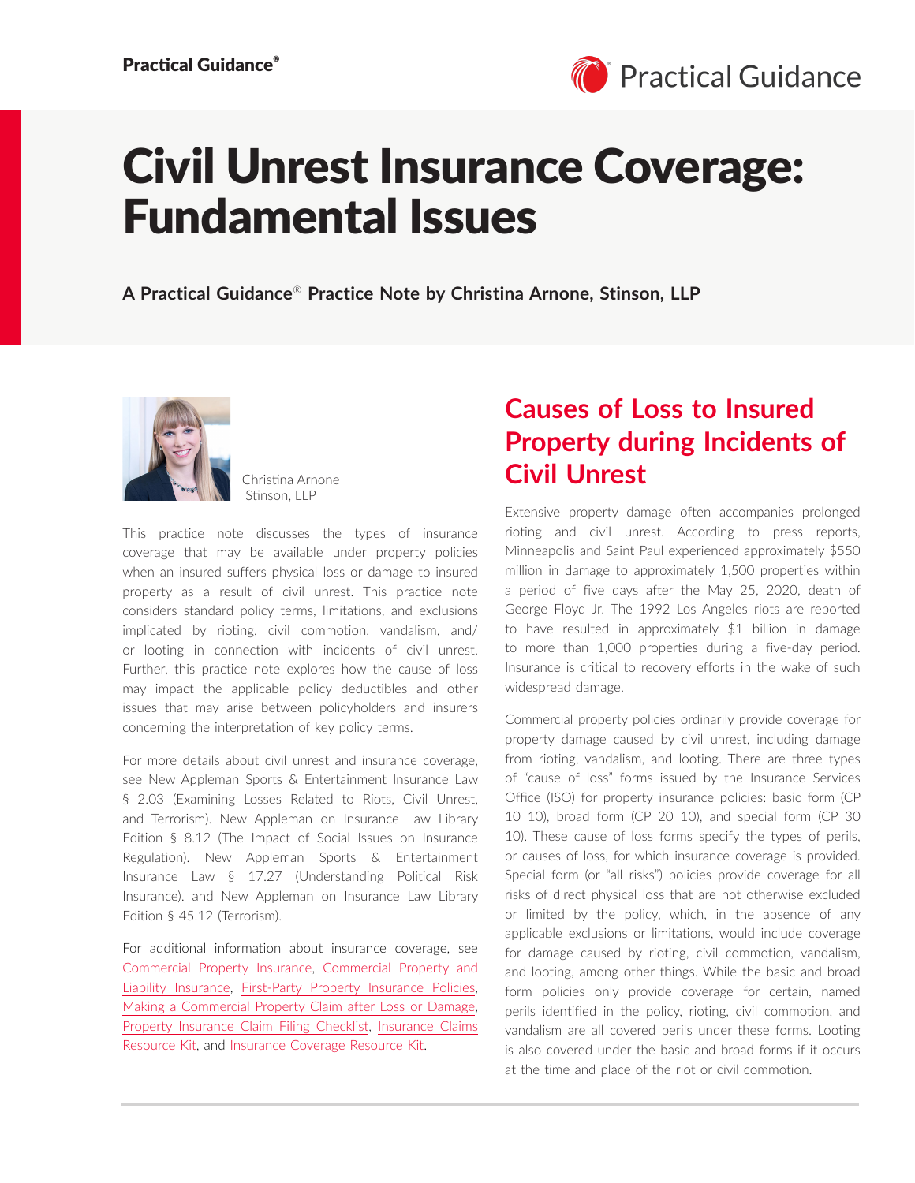

# Civil Unrest Insurance Coverage: Fundamental Issues

**A Practical Guidance**® **Practice Note by Christina Arnone, Stinson, LLP**



Christina Arnone Stinson, LLP

This practice note discusses the types of insurance coverage that may be available under property policies when an insured suffers physical loss or damage to insured property as a result of civil unrest. This practice note considers standard policy terms, limitations, and exclusions implicated by rioting, civil commotion, vandalism, and/ or looting in connection with incidents of civil unrest. Further, this practice note explores how the cause of loss may impact the applicable policy deductibles and other issues that may arise between policyholders and insurers concerning the interpretation of key policy terms.

For more details about civil unrest and insurance coverage, see New Appleman Sports & Entertainment Insurance Law § 2.03 (Examining Losses Related to Riots, Civil Unrest, and Terrorism). New Appleman on Insurance Law Library Edition § 8.12 (The Impact of Social Issues on Insurance Regulation). New Appleman Sports & Entertainment Insurance Law § 17.27 (Understanding Political Risk Insurance). and New Appleman on Insurance Law Library Edition § 45.12 (Terrorism).

For additional information about insurance coverage, see [Commercial Property Insurance,](https://advance.lexis.com/open/document/lpadocument/?pdmfid=1000522&pddocfullpath=%2Fshared%2Fdocument%2Fanalytical-materials%2Furn%3AcontentItem%3A5TK6-7HJ1-JFDC-X061-00000-00&pdcontentcomponentid=500749&pdteaserkey=sr0&pditab=allpods&ecomp=ztrg&earg=sr0) [Commercial Property and](https://advance.lexis.com/open/document/lpadocument/?pdmfid=1000522&pddocfullpath=%2Fshared%2Fdocument%2Fanalytical-materials%2Furn%3AcontentItem%3A5RTM-P7V1-JNS1-M2D5-00000-00&pdcontentcomponentid=500749&pdteaserkey=sr0&pditab=allpods&ecomp=ztrg&earg=sr0) [Liability Insurance](https://advance.lexis.com/open/document/lpadocument/?pdmfid=1000522&pddocfullpath=%2Fshared%2Fdocument%2Fanalytical-materials%2Furn%3AcontentItem%3A5RTM-P7V1-JNS1-M2D5-00000-00&pdcontentcomponentid=500749&pdteaserkey=sr0&pditab=allpods&ecomp=ztrg&earg=sr0), [First-Party Property Insurance Policies](https://advance.lexis.com/open/document/lpadocument/?pdmfid=1000522&pddocfullpath=%2Fshared%2Fdocument%2Fanalytical-materials%2Furn%3AcontentItem%3A5TK6-7HJ1-JFDC-X065-00000-00&pdcontentcomponentid=500749&pdteaserkey=sr0&pditab=allpods&ecomp=ztrg&earg=sr0), [Making a Commercial Property Claim after Loss or Damage](https://advance.lexis.com/open/document/lpadocument/?pdmfid=1000522&pddocfullpath=%2Fshared%2Fdocument%2Fanalytical-materials%2Furn%3AcontentItem%3A5HK3-TCV1-F1H1-235G-00000-00&pdcontentcomponentid=500749&pdteaserkey=sr0&pditab=allpods&ecomp=ztrg&earg=sr0), [Property Insurance Claim Filing Checklist,](https://advance.lexis.com/open/document/lpadocument/?pdmfid=1000522&pddocfullpath=%2Fshared%2Fdocument%2Fforms%2Furn%3AcontentItem%3A5TK6-7PY1-JJD0-G0DK-00000-00&pdcontentcomponentid=500752&pdteaserkey=sr0&pditab=allpods&ecomp=ztrg&earg=sr0) [Insurance Claims](https://advance.lexis.com/open/document/lpadocument/?pdmfid=1000522&pddocfullpath=%2Fshared%2Fdocument%2Fanalytical-materials%2Furn%3AcontentItem%3A60RC-8FB1-F1WF-M4SK-00000-00&pdcontentcomponentid=500749&pdteaserkey=sr0&pditab=allpods&ecomp=ztrg&earg=sr0)  [Resource Kit](https://advance.lexis.com/open/document/lpadocument/?pdmfid=1000522&pddocfullpath=%2Fshared%2Fdocument%2Fanalytical-materials%2Furn%3AcontentItem%3A60RC-8FB1-F1WF-M4SK-00000-00&pdcontentcomponentid=500749&pdteaserkey=sr0&pditab=allpods&ecomp=ztrg&earg=sr0), and [Insurance Coverage Resource Kit.](https://advance.lexis.com/open/document/lpadocument/?pdmfid=1000522&pddocfullpath=%2Fshared%2Fdocument%2Fanalytical-materials%2Furn%3AcontentItem%3A60RC-8FB1-F1WF-M4SM-00000-00&pdcontentcomponentid=500749&pdteaserkey=sr0&pditab=allpods&ecomp=ztrg&earg=sr0)

### **Causes of Loss to Insured Property during Incidents of Civil Unrest**

Extensive property damage often accompanies prolonged rioting and civil unrest. According to press reports, Minneapolis and Saint Paul experienced approximately \$550 million in damage to approximately 1,500 properties within a period of five days after the May 25, 2020, death of George Floyd Jr. The 1992 Los Angeles riots are reported to have resulted in approximately \$1 billion in damage to more than 1,000 properties during a five-day period. Insurance is critical to recovery efforts in the wake of such widespread damage.

Commercial property policies ordinarily provide coverage for property damage caused by civil unrest, including damage from rioting, vandalism, and looting. There are three types of "cause of loss" forms issued by the Insurance Services Office (ISO) for property insurance policies: basic form (CP 10 10), broad form (CP 20 10), and special form (CP 30 10). These cause of loss forms specify the types of perils, or causes of loss, for which insurance coverage is provided. Special form (or "all risks") policies provide coverage for all risks of direct physical loss that are not otherwise excluded or limited by the policy, which, in the absence of any applicable exclusions or limitations, would include coverage for damage caused by rioting, civil commotion, vandalism, and looting, among other things. While the basic and broad form policies only provide coverage for certain, named perils identified in the policy, rioting, civil commotion, and vandalism are all covered perils under these forms. Looting is also covered under the basic and broad forms if it occurs at the time and place of the riot or civil commotion.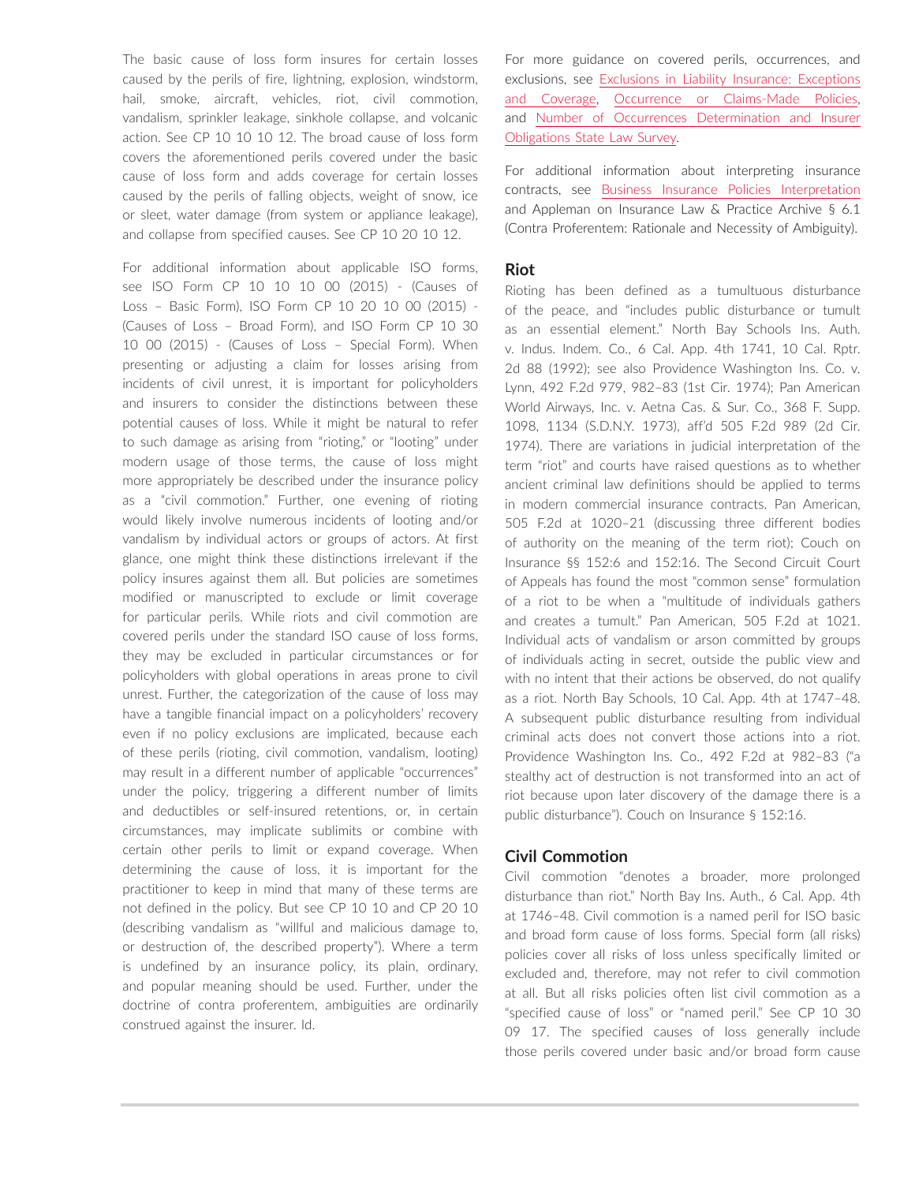The basic cause of loss form insures for certain losses caused by the perils of fire, lightning, explosion, windstorm, hail, smoke, aircraft, vehicles, riot, civil commotion, vandalism, sprinkler leakage, sinkhole collapse, and volcanic action. See CP 10 10 10 12. The broad cause of loss form covers the aforementioned perils covered under the basic cause of loss form and adds coverage for certain losses caused by the perils of falling objects, weight of snow, ice or sleet, water damage (from system or appliance leakage), and collapse from specified causes. See CP 10 20 10 12.

For additional information about applicable ISO forms, see ISO Form CP 10 10 10 00 (2015) - (Causes of Loss – Basic Form), ISO Form CP 10 20 10 00 (2015) - (Causes of Loss – Broad Form), and ISO Form CP 10 30 10 00 (2015) - (Causes of Loss – Special Form). When presenting or adjusting a claim for losses arising from incidents of civil unrest, it is important for policyholders and insurers to consider the distinctions between these potential causes of loss. While it might be natural to refer to such damage as arising from "rioting," or "looting" under modern usage of those terms, the cause of loss might more appropriately be described under the insurance policy as a "civil commotion." Further, one evening of rioting would likely involve numerous incidents of looting and/or vandalism by individual actors or groups of actors. At first glance, one might think these distinctions irrelevant if the policy insures against them all. But policies are sometimes modified or manuscripted to exclude or limit coverage for particular perils. While riots and civil commotion are covered perils under the standard ISO cause of loss forms, they may be excluded in particular circumstances or for policyholders with global operations in areas prone to civil unrest. Further, the categorization of the cause of loss may have a tangible financial impact on a policyholders' recovery even if no policy exclusions are implicated, because each of these perils (rioting, civil commotion, vandalism, looting) may result in a different number of applicable "occurrences" under the policy, triggering a different number of limits and deductibles or self-insured retentions, or, in certain circumstances, may implicate sublimits or combine with certain other perils to limit or expand coverage. When determining the cause of loss, it is important for the practitioner to keep in mind that many of these terms are not defined in the policy. But see CP 10 10 and CP 20 10 (describing vandalism as "willful and malicious damage to, or destruction of, the described property"). Where a term is undefined by an insurance policy, its plain, ordinary, and popular meaning should be used. Further, under the doctrine of contra proferentem, ambiguities are ordinarily construed against the insurer. Id.

For more guidance on covered perils, occurrences, and exclusions, see [Exclusions in Liability Insurance: Exceptions](https://advance.lexis.com/open/document/lpadocument/?pdmfid=1000522&pddocfullpath=%2Fshared%2Fdocument%2Fanalytical-materials%2Furn%3AcontentItem%3A5TN8-4BX1-JFKM-64M9-00000-00&pdcontentcomponentid=500749&pdteaserkey=sr0&pditab=allpods&ecomp=ztrg&earg=sr0)  [and Coverage](https://advance.lexis.com/open/document/lpadocument/?pdmfid=1000522&pddocfullpath=%2Fshared%2Fdocument%2Fanalytical-materials%2Furn%3AcontentItem%3A5TN8-4BX1-JFKM-64M9-00000-00&pdcontentcomponentid=500749&pdteaserkey=sr0&pditab=allpods&ecomp=ztrg&earg=sr0), [Occurrence or Claims-Made Policies](https://advance.lexis.com/open/document/lpadocument/?pdmfid=1000522&pddocfullpath=%2Fshared%2Fdocument%2Fanalytical-materials%2Furn%3AcontentItem%3A5TK6-7HJ1-JFDC-X063-00000-00&pdcontentcomponentid=500749&pdteaserkey=sr0&pditab=allpods&ecomp=ztrg&earg=sr0), and [Number of Occurrences Determination and Insurer](https://advance.lexis.com/open/document/lpadocument/?pdmfid=1000522&pddocfullpath=%2Fshared%2Fdocument%2Fanalytical-materials%2Furn%3AcontentItem%3A5TJJ-WS21-DXHD-G1XM-00000-00&pdcontentcomponentid=500749&pdteaserkey=sr0&pditab=allpods&ecomp=ztrg&earg=sr0)  [Obligations State Law Survey.](https://advance.lexis.com/open/document/lpadocument/?pdmfid=1000522&pddocfullpath=%2Fshared%2Fdocument%2Fanalytical-materials%2Furn%3AcontentItem%3A5TJJ-WS21-DXHD-G1XM-00000-00&pdcontentcomponentid=500749&pdteaserkey=sr0&pditab=allpods&ecomp=ztrg&earg=sr0)

For additional information about interpreting insurance contracts, see [Business Insurance Policies Interpretation](https://advance.lexis.com/open/document/lpadocument/?pdmfid=1000522&pddocfullpath=%2Fshared%2Fdocument%2Fanalytical-materials%2Furn%3AcontentItem%3A5TN8-4BX1-JFKM-64MR-00000-00&pdcontentcomponentid=500749&pdteaserkey=sr0&pditab=allpods&ecomp=ztrg&earg=sr0) and Appleman on Insurance Law & Practice Archive § 6.1 (Contra Proferentem: Rationale and Necessity of Ambiguity).

#### **Riot**

Rioting has been defined as a tumultuous disturbance of the peace, and "includes public disturbance or tumult as an essential element." North Bay Schools Ins. Auth. v. Indus. Indem. Co., 6 Cal. App. 4th 1741, 10 Cal. Rptr. 2d 88 (1992); see also Providence Washington Ins. Co. v. Lynn, 492 F.2d 979, 982–83 (1st Cir. 1974); Pan American World Airways, Inc. v. Aetna Cas. & Sur. Co., 368 F. Supp. 1098, 1134 (S.D.N.Y. 1973), aff'd 505 F.2d 989 (2d Cir. 1974). There are variations in judicial interpretation of the term "riot" and courts have raised questions as to whether ancient criminal law definitions should be applied to terms in modern commercial insurance contracts. Pan American, 505 F.2d at 1020–21 (discussing three different bodies of authority on the meaning of the term riot); Couch on Insurance §§ 152:6 and 152:16. The Second Circuit Court of Appeals has found the most "common sense" formulation of a riot to be when a "multitude of individuals gathers and creates a tumult." Pan American, 505 F.2d at 1021. Individual acts of vandalism or arson committed by groups of individuals acting in secret, outside the public view and with no intent that their actions be observed, do not qualify as a riot. North Bay Schools, 10 Cal. App. 4th at 1747–48. A subsequent public disturbance resulting from individual criminal acts does not convert those actions into a riot. Providence Washington Ins. Co., 492 F.2d at 982–83 ("a stealthy act of destruction is not transformed into an act of riot because upon later discovery of the damage there is a public disturbance"). Couch on Insurance § 152:16.

#### **Civil Commotion**

Civil commotion "denotes a broader, more prolonged disturbance than riot." North Bay Ins. Auth., 6 Cal. App. 4th at 1746–48. Civil commotion is a named peril for ISO basic and broad form cause of loss forms. Special form (all risks) policies cover all risks of loss unless specifically limited or excluded and, therefore, may not refer to civil commotion at all. But all risks policies often list civil commotion as a "specified cause of loss" or "named peril." See CP 10 30 09 17. The specified causes of loss generally include those perils covered under basic and/or broad form cause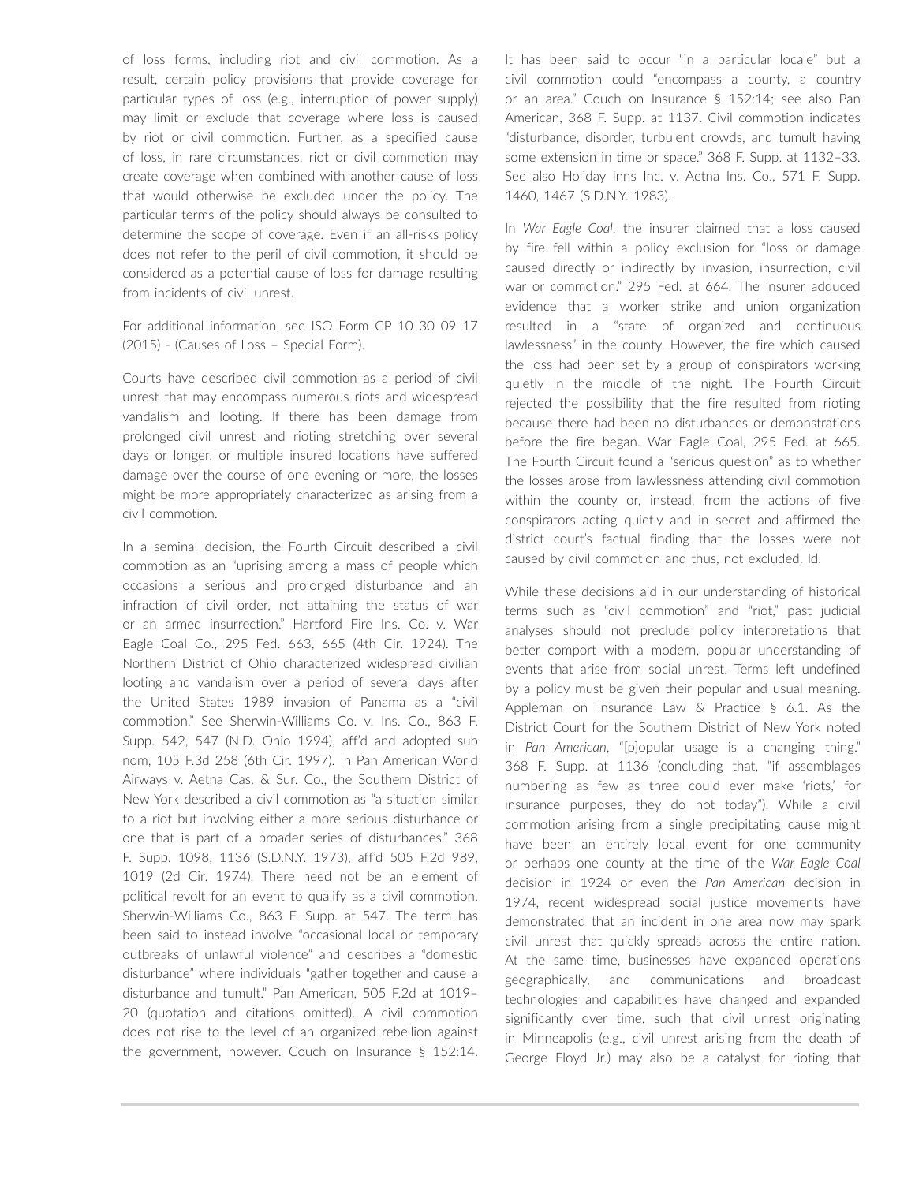of loss forms, including riot and civil commotion. As a result, certain policy provisions that provide coverage for particular types of loss (e.g., interruption of power supply) may limit or exclude that coverage where loss is caused by riot or civil commotion. Further, as a specified cause of loss, in rare circumstances, riot or civil commotion may create coverage when combined with another cause of loss that would otherwise be excluded under the policy. The particular terms of the policy should always be consulted to determine the scope of coverage. Even if an all-risks policy does not refer to the peril of civil commotion, it should be considered as a potential cause of loss for damage resulting from incidents of civil unrest.

For additional information, see ISO Form CP 10 30 09 17 (2015) - (Causes of Loss – Special Form).

Courts have described civil commotion as a period of civil unrest that may encompass numerous riots and widespread vandalism and looting. If there has been damage from prolonged civil unrest and rioting stretching over several days or longer, or multiple insured locations have suffered damage over the course of one evening or more, the losses might be more appropriately characterized as arising from a civil commotion.

In a seminal decision, the Fourth Circuit described a civil commotion as an "uprising among a mass of people which occasions a serious and prolonged disturbance and an infraction of civil order, not attaining the status of war or an armed insurrection." Hartford Fire Ins. Co. v. War Eagle Coal Co., 295 Fed. 663, 665 (4th Cir. 1924). The Northern District of Ohio characterized widespread civilian looting and vandalism over a period of several days after the United States 1989 invasion of Panama as a "civil commotion." See Sherwin-Williams Co. v. Ins. Co., 863 F. Supp. 542, 547 (N.D. Ohio 1994), aff'd and adopted sub nom, 105 F.3d 258 (6th Cir. 1997). In Pan American World Airways v. Aetna Cas. & Sur. Co., the Southern District of New York described a civil commotion as "a situation similar to a riot but involving either a more serious disturbance or one that is part of a broader series of disturbances." 368 F. Supp. 1098, 1136 (S.D.N.Y. 1973), aff'd 505 F.2d 989, 1019 (2d Cir. 1974). There need not be an element of political revolt for an event to qualify as a civil commotion. Sherwin-Williams Co., 863 F. Supp. at 547. The term has been said to instead involve "occasional local or temporary outbreaks of unlawful violence" and describes a "domestic disturbance" where individuals "gather together and cause a disturbance and tumult." Pan American, 505 F.2d at 1019– 20 (quotation and citations omitted). A civil commotion does not rise to the level of an organized rebellion against the government, however. Couch on Insurance § 152:14. It has been said to occur "in a particular locale" but a civil commotion could "encompass a county, a country or an area." Couch on Insurance § 152:14; see also Pan American, 368 F. Supp. at 1137. Civil commotion indicates "disturbance, disorder, turbulent crowds, and tumult having some extension in time or space." 368 F. Supp. at 1132–33. See also Holiday Inns Inc. v. Aetna Ins. Co., 571 F. Supp. 1460, 1467 (S.D.N.Y. 1983).

In *War Eagle Coal*, the insurer claimed that a loss caused by fire fell within a policy exclusion for "loss or damage caused directly or indirectly by invasion, insurrection, civil war or commotion." 295 Fed. at 664. The insurer adduced evidence that a worker strike and union organization resulted in a "state of organized and continuous lawlessness" in the county. However, the fire which caused the loss had been set by a group of conspirators working quietly in the middle of the night. The Fourth Circuit rejected the possibility that the fire resulted from rioting because there had been no disturbances or demonstrations before the fire began. War Eagle Coal, 295 Fed. at 665. The Fourth Circuit found a "serious question" as to whether the losses arose from lawlessness attending civil commotion within the county or, instead, from the actions of five conspirators acting quietly and in secret and affirmed the district court's factual finding that the losses were not caused by civil commotion and thus, not excluded. Id.

While these decisions aid in our understanding of historical terms such as "civil commotion" and "riot," past judicial analyses should not preclude policy interpretations that better comport with a modern, popular understanding of events that arise from social unrest. Terms left undefined by a policy must be given their popular and usual meaning. Appleman on Insurance Law & Practice § 6.1. As the District Court for the Southern District of New York noted in *Pan American*, "[p]opular usage is a changing thing." 368 F. Supp. at 1136 (concluding that, "if assemblages numbering as few as three could ever make 'riots,' for insurance purposes, they do not today"). While a civil commotion arising from a single precipitating cause might have been an entirely local event for one community or perhaps one county at the time of the *War Eagle Coal*  decision in 1924 or even the *Pan American* decision in 1974, recent widespread social justice movements have demonstrated that an incident in one area now may spark civil unrest that quickly spreads across the entire nation. At the same time, businesses have expanded operations geographically, and communications and broadcast technologies and capabilities have changed and expanded significantly over time, such that civil unrest originating in Minneapolis (e.g., civil unrest arising from the death of George Floyd Jr.) may also be a catalyst for rioting that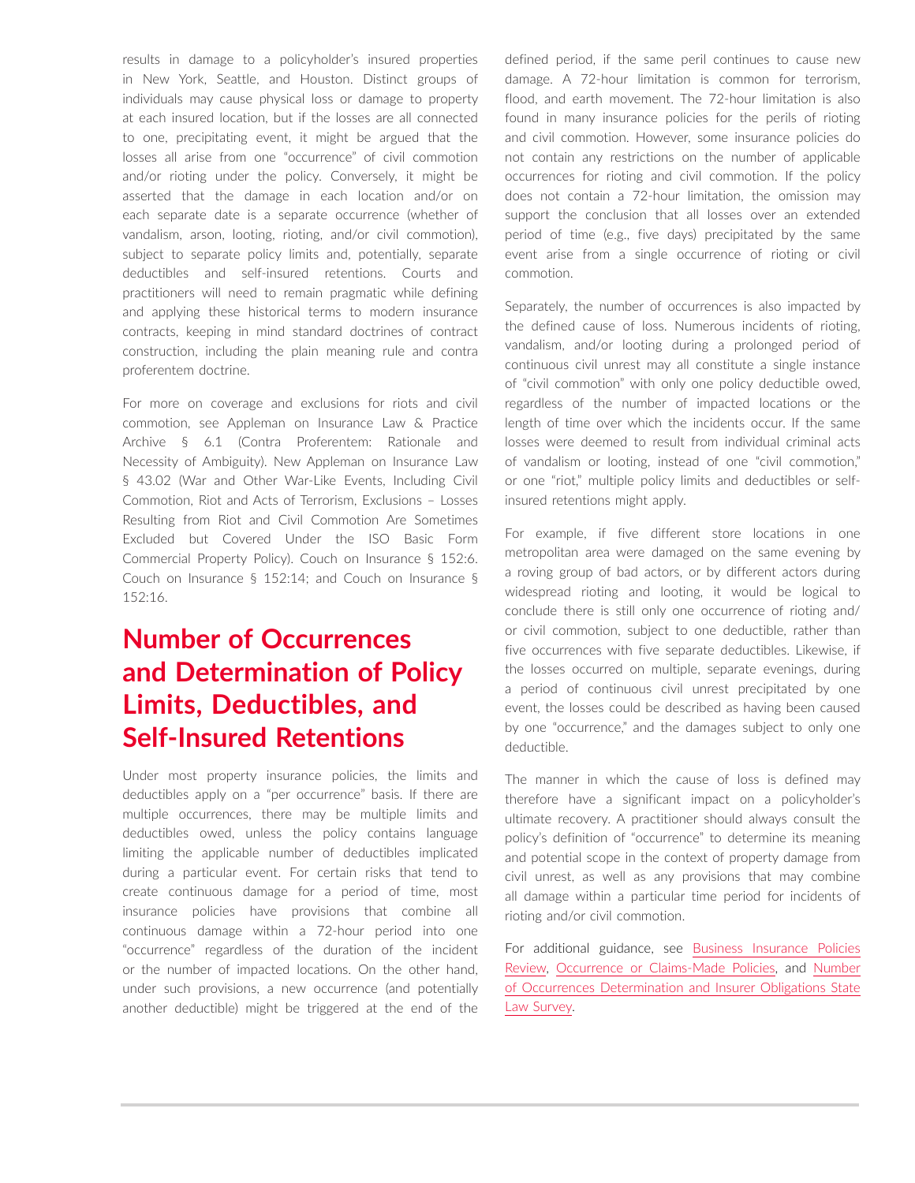results in damage to a policyholder's insured properties in New York, Seattle, and Houston. Distinct groups of individuals may cause physical loss or damage to property at each insured location, but if the losses are all connected to one, precipitating event, it might be argued that the losses all arise from one "occurrence" of civil commotion and/or rioting under the policy. Conversely, it might be asserted that the damage in each location and/or on each separate date is a separate occurrence (whether of vandalism, arson, looting, rioting, and/or civil commotion), subject to separate policy limits and, potentially, separate deductibles and self-insured retentions. Courts and practitioners will need to remain pragmatic while defining and applying these historical terms to modern insurance contracts, keeping in mind standard doctrines of contract construction, including the plain meaning rule and contra proferentem doctrine.

For more on coverage and exclusions for riots and civil commotion, see Appleman on Insurance Law & Practice Archive § 6.1 (Contra Proferentem: Rationale and Necessity of Ambiguity). New Appleman on Insurance Law § 43.02 (War and Other War-Like Events, Including Civil Commotion, Riot and Acts of Terrorism, Exclusions – Losses Resulting from Riot and Civil Commotion Are Sometimes Excluded but Covered Under the ISO Basic Form Commercial Property Policy). Couch on Insurance § 152:6. Couch on Insurance § 152:14; and Couch on Insurance § 152:16.

### **Number of Occurrences and Determination of Policy Limits, Deductibles, and Self-Insured Retentions**

Under most property insurance policies, the limits and deductibles apply on a "per occurrence" basis. If there are multiple occurrences, there may be multiple limits and deductibles owed, unless the policy contains language limiting the applicable number of deductibles implicated during a particular event. For certain risks that tend to create continuous damage for a period of time, most insurance policies have provisions that combine all continuous damage within a 72-hour period into one "occurrence" regardless of the duration of the incident or the number of impacted locations. On the other hand, under such provisions, a new occurrence (and potentially another deductible) might be triggered at the end of the defined period, if the same peril continues to cause new damage. A 72-hour limitation is common for terrorism, flood, and earth movement. The 72-hour limitation is also found in many insurance policies for the perils of rioting and civil commotion. However, some insurance policies do not contain any restrictions on the number of applicable occurrences for rioting and civil commotion. If the policy does not contain a 72-hour limitation, the omission may support the conclusion that all losses over an extended period of time (e.g., five days) precipitated by the same event arise from a single occurrence of rioting or civil commotion.

Separately, the number of occurrences is also impacted by the defined cause of loss. Numerous incidents of rioting, vandalism, and/or looting during a prolonged period of continuous civil unrest may all constitute a single instance of "civil commotion" with only one policy deductible owed, regardless of the number of impacted locations or the length of time over which the incidents occur. If the same losses were deemed to result from individual criminal acts of vandalism or looting, instead of one "civil commotion," or one "riot," multiple policy limits and deductibles or selfinsured retentions might apply.

For example, if five different store locations in one metropolitan area were damaged on the same evening by a roving group of bad actors, or by different actors during widespread rioting and looting, it would be logical to conclude there is still only one occurrence of rioting and/ or civil commotion, subject to one deductible, rather than five occurrences with five separate deductibles. Likewise, if the losses occurred on multiple, separate evenings, during a period of continuous civil unrest precipitated by one event, the losses could be described as having been caused by one "occurrence," and the damages subject to only one deductible.

The manner in which the cause of loss is defined may therefore have a significant impact on a policyholder's ultimate recovery. A practitioner should always consult the policy's definition of "occurrence" to determine its meaning and potential scope in the context of property damage from civil unrest, as well as any provisions that may combine all damage within a particular time period for incidents of rioting and/or civil commotion.

For additional guidance, see [Business Insurance Policies](https://advance.lexis.com/open/document/lpadocument/?pdmfid=1000522&pddocfullpath=%2Fshared%2Fdocument%2Fanalytical-materials%2Furn%3AcontentItem%3A5TMD-6TN1-FCYK-212V-00000-00&pdcontentcomponentid=500749&pdteaserkey=sr0&pditab=allpods&ecomp=ztrg&earg=sr0)  [Review,](https://advance.lexis.com/open/document/lpadocument/?pdmfid=1000522&pddocfullpath=%2Fshared%2Fdocument%2Fanalytical-materials%2Furn%3AcontentItem%3A5TMD-6TN1-FCYK-212V-00000-00&pdcontentcomponentid=500749&pdteaserkey=sr0&pditab=allpods&ecomp=ztrg&earg=sr0) [Occurrence or Claims-Made Policies,](https://advance.lexis.com/open/document/lpadocument/?pdmfid=1000522&pddocfullpath=%2Fshared%2Fdocument%2Fanalytical-materials%2Furn%3AcontentItem%3A5TK6-7HJ1-JFDC-X063-00000-00&pdcontentcomponentid=500749&pdteaserkey=sr0&pditab=allpods&ecomp=ztrg&earg=sr0) and [Number](https://advance.lexis.com/open/document/lpadocument/?pdmfid=1000522&pddocfullpath=%2Fshared%2Fdocument%2Fanalytical-materials%2Furn%3AcontentItem%3A5TJJ-WS21-DXHD-G1XM-00000-00&pdcontentcomponentid=500749&pdteaserkey=sr0&pditab=allpods&ecomp=ztrg&earg=sr0) [of Occurrences Determination and Insurer Obligations State](https://advance.lexis.com/open/document/lpadocument/?pdmfid=1000522&pddocfullpath=%2Fshared%2Fdocument%2Fanalytical-materials%2Furn%3AcontentItem%3A5TJJ-WS21-DXHD-G1XM-00000-00&pdcontentcomponentid=500749&pdteaserkey=sr0&pditab=allpods&ecomp=ztrg&earg=sr0)  [Law Survey.](https://advance.lexis.com/open/document/lpadocument/?pdmfid=1000522&pddocfullpath=%2Fshared%2Fdocument%2Fanalytical-materials%2Furn%3AcontentItem%3A5TJJ-WS21-DXHD-G1XM-00000-00&pdcontentcomponentid=500749&pdteaserkey=sr0&pditab=allpods&ecomp=ztrg&earg=sr0)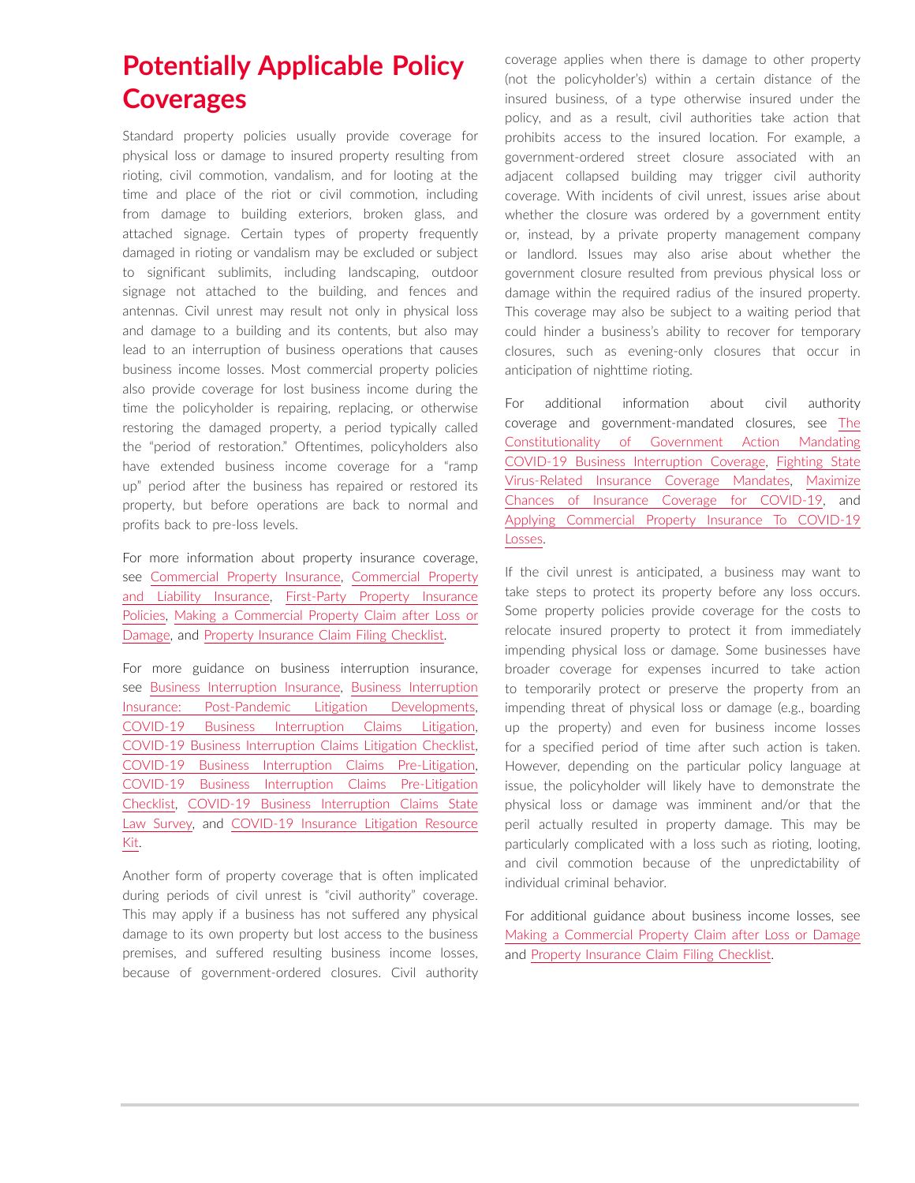### **Potentially Applicable Policy Coverages**

Standard property policies usually provide coverage for physical loss or damage to insured property resulting from rioting, civil commotion, vandalism, and for looting at the time and place of the riot or civil commotion, including from damage to building exteriors, broken glass, and attached signage. Certain types of property frequently damaged in rioting or vandalism may be excluded or subject to significant sublimits, including landscaping, outdoor signage not attached to the building, and fences and antennas. Civil unrest may result not only in physical loss and damage to a building and its contents, but also may lead to an interruption of business operations that causes business income losses. Most commercial property policies also provide coverage for lost business income during the time the policyholder is repairing, replacing, or otherwise restoring the damaged property, a period typically called the "period of restoration." Oftentimes, policyholders also have extended business income coverage for a "ramp up" period after the business has repaired or restored its property, but before operations are back to normal and profits back to pre-loss levels.

For more information about property insurance coverage, see [Commercial Property Insurance,](https://advance.lexis.com/open/document/lpadocument/?pdmfid=1000522&pddocfullpath=%2Fshared%2Fdocument%2Fanalytical-materials%2Furn%3AcontentItem%3A5TK6-7HJ1-JFDC-X061-00000-00&pdcontentcomponentid=500749&pdteaserkey=sr0&pditab=allpods&ecomp=ztrg&earg=sr0) [Commercial Property](https://advance.lexis.com/open/document/lpadocument/?pdmfid=1000522&pddocfullpath=%2Fshared%2Fdocument%2Fanalytical-materials%2Furn%3AcontentItem%3A5RTM-P7V1-JNS1-M2D5-00000-00&pdcontentcomponentid=500749&pdteaserkey=sr0&pditab=allpods&ecomp=ztrg&earg=sr0)  [and Liability Insurance,](https://advance.lexis.com/open/document/lpadocument/?pdmfid=1000522&pddocfullpath=%2Fshared%2Fdocument%2Fanalytical-materials%2Furn%3AcontentItem%3A5RTM-P7V1-JNS1-M2D5-00000-00&pdcontentcomponentid=500749&pdteaserkey=sr0&pditab=allpods&ecomp=ztrg&earg=sr0) [First-Party Property Insurance](https://advance.lexis.com/open/document/lpadocument/?pdmfid=1000522&pddocfullpath=%2Fshared%2Fdocument%2Fanalytical-materials%2Furn%3AcontentItem%3A5TK6-7HJ1-JFDC-X065-00000-00&pdcontentcomponentid=500749&pdteaserkey=sr0&pditab=allpods&ecomp=ztrg&earg=sr0)  [Policies,](https://advance.lexis.com/open/document/lpadocument/?pdmfid=1000522&pddocfullpath=%2Fshared%2Fdocument%2Fanalytical-materials%2Furn%3AcontentItem%3A5TK6-7HJ1-JFDC-X065-00000-00&pdcontentcomponentid=500749&pdteaserkey=sr0&pditab=allpods&ecomp=ztrg&earg=sr0) [Making a Commercial Property Claim after Loss or](https://advance.lexis.com/open/document/lpadocument/?pdmfid=1000522&pddocfullpath=%2Fshared%2Fdocument%2Fanalytical-materials%2Furn%3AcontentItem%3A5HK3-TCV1-F1H1-235G-00000-00&pdcontentcomponentid=500749&pdteaserkey=sr0&pditab=allpods&ecomp=ztrg&earg=sr0)  [Damage,](https://advance.lexis.com/open/document/lpadocument/?pdmfid=1000522&pddocfullpath=%2Fshared%2Fdocument%2Fanalytical-materials%2Furn%3AcontentItem%3A5HK3-TCV1-F1H1-235G-00000-00&pdcontentcomponentid=500749&pdteaserkey=sr0&pditab=allpods&ecomp=ztrg&earg=sr0) and [Property Insurance Claim Filing Checklist](https://advance.lexis.com/open/document/lpadocument/?pdmfid=1000522&pddocfullpath=%2Fshared%2Fdocument%2Fforms%2Furn%3AcontentItem%3A5TK6-7PY1-JJD0-G0DK-00000-00&pdcontentcomponentid=500752&pdteaserkey=sr0&pditab=allpods&ecomp=ztrg&earg=sr0).

For more guidance on business interruption insurance, see [Business Interruption Insurance,](https://advance.lexis.com/open/document/lpadocument/?pdmfid=1000522&pddocfullpath=%2Fshared%2Fdocument%2Fanalytical-materials%2Furn%3AcontentItem%3A5TK6-7HJ1-JFDC-X064-00000-00&pdcontentcomponentid=500749&pdteaserkey=sr0&pditab=allpods&ecomp=ztrg&earg=sr0) [Business Interruption](https://advance.lexis.com/open/document/lpadocument/?pdmfid=1000522&pddocfullpath=%2Fshared%2Fdocument%2Fanalytical-materials%2Furn%3AcontentItem%3A644M-6731-FGCG-S4DX-00000-00&pdcontentcomponentid=500749&pdteaserkey=sr0&pditab=allpods&ecomp=ztrg&earg=sr0)  [Insurance: Post-Pandemic Litigation Developments](https://advance.lexis.com/open/document/lpadocument/?pdmfid=1000522&pddocfullpath=%2Fshared%2Fdocument%2Fanalytical-materials%2Furn%3AcontentItem%3A644M-6731-FGCG-S4DX-00000-00&pdcontentcomponentid=500749&pdteaserkey=sr0&pditab=allpods&ecomp=ztrg&earg=sr0), [COVID-19 Business Interruption Claims Litigation](https://advance.lexis.com/open/document/lpadocument/?pdmfid=1000522&pddocfullpath=%2Fshared%2Fdocument%2Fanalytical-materials%2Furn%3AcontentItem%3A60BX-RCV1-JSC5-M1SH-00000-00&pdcontentcomponentid=500749&pdteaserkey=sr0&pditab=allpods&ecomp=ztrg&earg=sr0), [COVID-19 Business Interruption Claims Litigation Checklist](https://advance.lexis.com/open/document/lpadocument/?pdmfid=1000522&pddocfullpath=%2Fshared%2Fdocument%2Fforms%2Furn%3AcontentItem%3A6183-J5D1-FCK4-G4SN-00000-00&pdcontentcomponentid=500751&pdteaserkey=sr0&pditab=allpods&ecomp=ztrg&earg=sr0), [COVID-19 Business Interruption Claims Pre-Litigation](https://advance.lexis.com/open/document/lpadocument/?pdmfid=1000522&pddocfullpath=%2Fshared%2Fdocument%2Fanalytical-materials%2Furn%3AcontentItem%3A6088-XCS1-FGRY-B178-00000-00&pdcontentcomponentid=500749&pdteaserkey=sr0&pditab=allpods&ecomp=ztrg&earg=sr0), [COVID-19 Business Interruption Claims Pre-Litigation](https://advance.lexis.com/open/document/lpadocument/?pdmfid=1000522&pddocfullpath=%2Fshared%2Fdocument%2Fforms%2Furn%3AcontentItem%3A6183-J5D1-FCK4-G4SM-00000-00&pdcontentcomponentid=500751&pdteaserkey=sr0&pditab=allpods&ecomp=ztrg&earg=sr0)  [Checklist](https://advance.lexis.com/open/document/lpadocument/?pdmfid=1000522&pddocfullpath=%2Fshared%2Fdocument%2Fforms%2Furn%3AcontentItem%3A6183-J5D1-FCK4-G4SM-00000-00&pdcontentcomponentid=500751&pdteaserkey=sr0&pditab=allpods&ecomp=ztrg&earg=sr0), [COVID-19 Business Interruption Claims State](https://advance.lexis.com/open/document/lpadocument/?pdmfid=1000522&pddocfullpath=%2Fshared%2Fdocument%2Fanalytical-materials%2Furn%3AcontentItem%3A60DV-VMC1-F2TK-234R-00000-00&pdcontentcomponentid=500749&pdteaserkey=sr0&pditab=allpods&ecomp=ztrg&earg=sr0)  [Law Survey,](https://advance.lexis.com/open/document/lpadocument/?pdmfid=1000522&pddocfullpath=%2Fshared%2Fdocument%2Fanalytical-materials%2Furn%3AcontentItem%3A60DV-VMC1-F2TK-234R-00000-00&pdcontentcomponentid=500749&pdteaserkey=sr0&pditab=allpods&ecomp=ztrg&earg=sr0) and [COVID-19 Insurance Litigation Resource](https://advance.lexis.com/open/document/lpadocument/?pdmfid=1000522&pddocfullpath=%2Fshared%2Fdocument%2Fanalytical-materials%2Furn%3AcontentItem%3A629Y-4D61-JCBX-S410-00000-00&pdcontentcomponentid=500749&pdteaserkey=sr0&pditab=allpods&ecomp=ztrg&earg=sr0)  [Kit.](https://advance.lexis.com/open/document/lpadocument/?pdmfid=1000522&pddocfullpath=%2Fshared%2Fdocument%2Fanalytical-materials%2Furn%3AcontentItem%3A629Y-4D61-JCBX-S410-00000-00&pdcontentcomponentid=500749&pdteaserkey=sr0&pditab=allpods&ecomp=ztrg&earg=sr0)

Another form of property coverage that is often implicated during periods of civil unrest is "civil authority" coverage. This may apply if a business has not suffered any physical damage to its own property but lost access to the business premises, and suffered resulting business income losses, because of government-ordered closures. Civil authority coverage applies when there is damage to other property (not the policyholder's) within a certain distance of the insured business, of a type otherwise insured under the policy, and as a result, civil authorities take action that prohibits access to the insured location. For example, a government-ordered street closure associated with an adjacent collapsed building may trigger civil authority coverage. With incidents of civil unrest, issues arise about whether the closure was ordered by a government entity or, instead, by a private property management company or landlord. Issues may also arise about whether the government closure resulted from previous physical loss or damage within the required radius of the insured property. This coverage may also be subject to a waiting period that could hinder a business's ability to recover for temporary closures, such as evening-only closures that occur in anticipation of nighttime rioting.

For additional information about civil authority coverage and government-mandated closures, see [The](https://advance.lexis.com/open/document/lpadocument/?pdmfid=1000522&pddocfullpath=%2Fshared%2Fdocument%2Fanalytical-materials%2Furn%3AcontentItem%3A603P-2B21-FCK4-G088-00000-00&pdcontentcomponentid=500750&pdteaserkey=sr0&pditab=allpods&ecomp=ztrg&earg=sr0)  [Constitutionality of Government Action Mandating](https://advance.lexis.com/open/document/lpadocument/?pdmfid=1000522&pddocfullpath=%2Fshared%2Fdocument%2Fanalytical-materials%2Furn%3AcontentItem%3A603P-2B21-FCK4-G088-00000-00&pdcontentcomponentid=500750&pdteaserkey=sr0&pditab=allpods&ecomp=ztrg&earg=sr0)  [COVID-19 Business Interruption Coverage](https://advance.lexis.com/open/document/lpadocument/?pdmfid=1000522&pddocfullpath=%2Fshared%2Fdocument%2Fanalytical-materials%2Furn%3AcontentItem%3A603P-2B21-FCK4-G088-00000-00&pdcontentcomponentid=500750&pdteaserkey=sr0&pditab=allpods&ecomp=ztrg&earg=sr0), [Fighting State](https://advance.lexis.com/open/document/lpadocument/?pdmfid=1000522&pddocfullpath=%2Fshared%2Fdocument%2Fanalytical-materials%2Furn%3AcontentItem%3A60HD-DY81-JSC5-M1VB-00000-00&pdcontentcomponentid=500750&pdteaserkey=sr0&pditab=allpods&ecomp=ztrg&earg=sr0)  [Virus-Related Insurance Coverage Mandates,](https://advance.lexis.com/open/document/lpadocument/?pdmfid=1000522&pddocfullpath=%2Fshared%2Fdocument%2Fanalytical-materials%2Furn%3AcontentItem%3A60HD-DY81-JSC5-M1VB-00000-00&pdcontentcomponentid=500750&pdteaserkey=sr0&pditab=allpods&ecomp=ztrg&earg=sr0) [Maximize](https://advance.lexis.com/open/document/lpadocument/?pdmfid=1000522&pddocfullpath=%2Fshared%2Fdocument%2Fanalytical-materials%2Furn%3AcontentItem%3A60HD-DY81-JSC5-M1VC-00000-00&pdcontentcomponentid=500750&pdteaserkey=sr0&pditab=allpods&ecomp=ztrg&earg=sr0)  [Chances of Insurance Coverage for COVID-19,](https://advance.lexis.com/open/document/lpadocument/?pdmfid=1000522&pddocfullpath=%2Fshared%2Fdocument%2Fanalytical-materials%2Furn%3AcontentItem%3A60HD-DY81-JSC5-M1VC-00000-00&pdcontentcomponentid=500750&pdteaserkey=sr0&pditab=allpods&ecomp=ztrg&earg=sr0) and [Applying Commercial Property Insurance To COVID-19](https://advance.lexis.com/open/document/lpadocument/?pdmfid=1000522&pddocfullpath=%2Fshared%2Fdocument%2Fanalytical-materials%2Furn%3AcontentItem%3A5YFG-0H91-JXNB-6299-00000-00&pdcontentcomponentid=500750&pdteaserkey=sr0&pditab=allpods&ecomp=ztrg&earg=sr0)  [Losses](https://advance.lexis.com/open/document/lpadocument/?pdmfid=1000522&pddocfullpath=%2Fshared%2Fdocument%2Fanalytical-materials%2Furn%3AcontentItem%3A5YFG-0H91-JXNB-6299-00000-00&pdcontentcomponentid=500750&pdteaserkey=sr0&pditab=allpods&ecomp=ztrg&earg=sr0).

If the civil unrest is anticipated, a business may want to take steps to protect its property before any loss occurs. Some property policies provide coverage for the costs to relocate insured property to protect it from immediately impending physical loss or damage. Some businesses have broader coverage for expenses incurred to take action to temporarily protect or preserve the property from an impending threat of physical loss or damage (e.g., boarding up the property) and even for business income losses for a specified period of time after such action is taken. However, depending on the particular policy language at issue, the policyholder will likely have to demonstrate the physical loss or damage was imminent and/or that the peril actually resulted in property damage. This may be particularly complicated with a loss such as rioting, looting, and civil commotion because of the unpredictability of individual criminal behavior.

For additional guidance about business income losses, see [Making a Commercial Property Claim after Loss or Damage](https://advance.lexis.com/open/document/lpadocument/?pdmfid=1000522&pddocfullpath=%2Fshared%2Fdocument%2Fanalytical-materials%2Furn%3AcontentItem%3A5HK3-TCV1-F1H1-235G-00000-00&pdcontentcomponentid=500749&pdteaserkey=sr0&pditab=allpods&ecomp=ztrg&earg=sr0) and [Property Insurance Claim Filing Checklist](https://advance.lexis.com/open/document/lpadocument/?pdmfid=1000522&pddocfullpath=%2Fshared%2Fdocument%2Fforms%2Furn%3AcontentItem%3A5TK6-7PY1-JJD0-G0DK-00000-00&pdcontentcomponentid=500752&pdteaserkey=sr0&pditab=allpods&ecomp=ztrg&earg=sr0).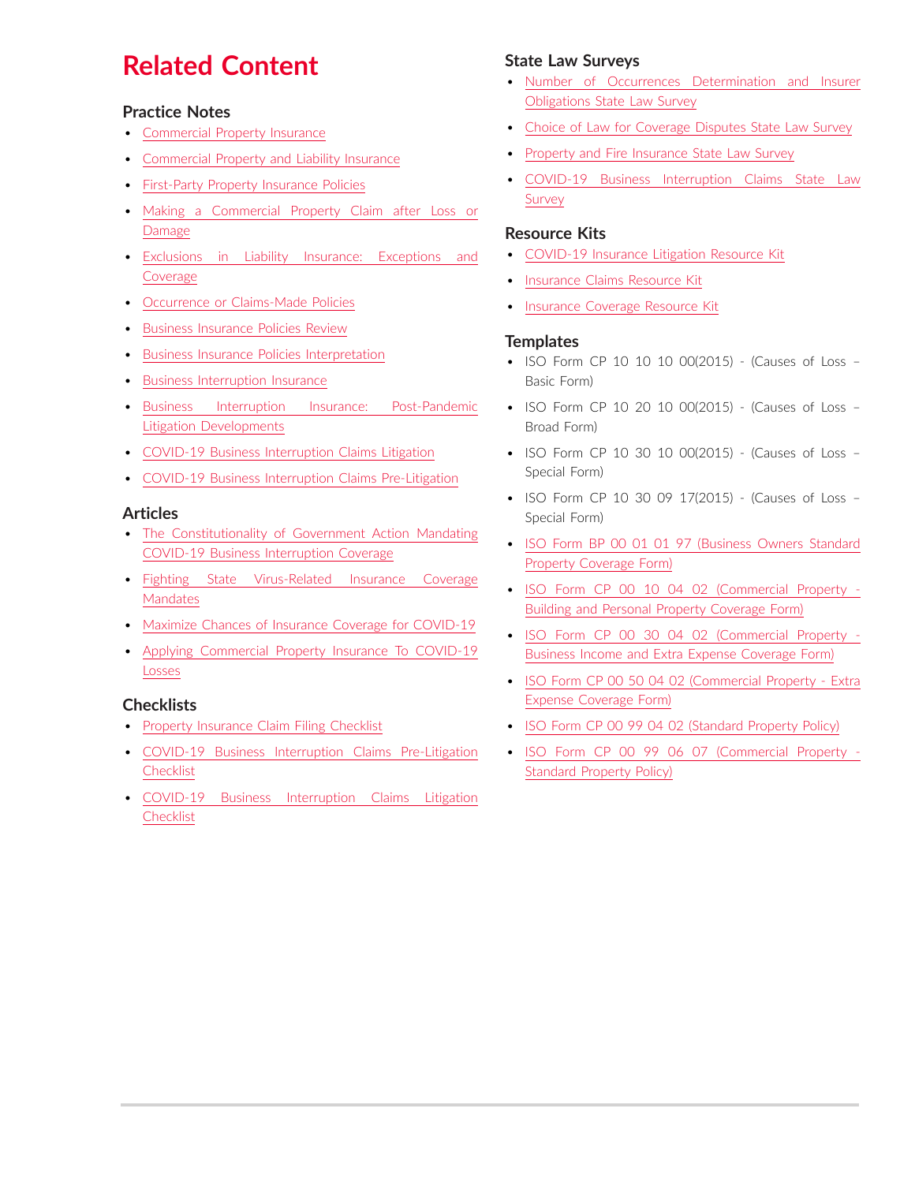## **Related Content**

#### **Practice Notes**

- [Commercial Property Insurance](https://advance.lexis.com/open/document/lpadocument/?pdmfid=1000522&pddocfullpath=%2Fshared%2Fdocument%2Fanalytical-materials%2Furn%3AcontentItem%3A5TK6-7HJ1-JFDC-X061-00000-00&pdcontentcomponentid=500749&pdteaserkey=sr0&pditab=allpods&ecomp=ztrg&earg=sr0)
- [Commercial Property and Liability Insurance](https://advance.lexis.com/open/document/lpadocument/?pdmfid=1000522&pddocfullpath=%2Fshared%2Fdocument%2Fanalytical-materials%2Furn%3AcontentItem%3A5RTM-P7V1-JNS1-M2D5-00000-00&pdcontentcomponentid=500749&pdteaserkey=sr0&pditab=allpods&ecomp=ztrg&earg=sr0)
- [First-Party Property Insurance Policies](https://advance.lexis.com/open/document/lpadocument/?pdmfid=1000522&pddocfullpath=%2Fshared%2Fdocument%2Fanalytical-materials%2Furn%3AcontentItem%3A5TK6-7HJ1-JFDC-X065-00000-00&pdcontentcomponentid=500749&pdteaserkey=sr0&pditab=allpods&ecomp=ztrg&earg=sr0)
- [Making a Commercial Property Claim after Loss or](https://advance.lexis.com/open/document/lpadocument/?pdmfid=1000522&pddocfullpath=%2Fshared%2Fdocument%2Fanalytical-materials%2Furn%3AcontentItem%3A5HK3-TCV1-F1H1-235G-00000-00&pdcontentcomponentid=500749&pdteaserkey=sr0&pditab=allpods&ecomp=ztrg&earg=sr0)  [Damage](https://advance.lexis.com/open/document/lpadocument/?pdmfid=1000522&pddocfullpath=%2Fshared%2Fdocument%2Fanalytical-materials%2Furn%3AcontentItem%3A5HK3-TCV1-F1H1-235G-00000-00&pdcontentcomponentid=500749&pdteaserkey=sr0&pditab=allpods&ecomp=ztrg&earg=sr0)
- [Exclusions in Liability Insurance: Exceptions and](https://advance.lexis.com/open/document/lpadocument/?pdmfid=1000522&pddocfullpath=%2Fshared%2Fdocument%2Fanalytical-materials%2Furn%3AcontentItem%3A5TN8-4BX1-JFKM-64M9-00000-00&pdcontentcomponentid=500749&pdteaserkey=sr0&pditab=allpods&ecomp=ztrg&earg=sr0)  [Coverage](https://advance.lexis.com/open/document/lpadocument/?pdmfid=1000522&pddocfullpath=%2Fshared%2Fdocument%2Fanalytical-materials%2Furn%3AcontentItem%3A5TN8-4BX1-JFKM-64M9-00000-00&pdcontentcomponentid=500749&pdteaserkey=sr0&pditab=allpods&ecomp=ztrg&earg=sr0)
- [Occurrence or Claims-Made Policies](https://advance.lexis.com/open/document/lpadocument/?pdmfid=1000522&pddocfullpath=%2Fshared%2Fdocument%2Fanalytical-materials%2Furn%3AcontentItem%3A5TK6-7HJ1-JFDC-X063-00000-00&pdcontentcomponentid=500749&pdteaserkey=sr0&pditab=allpods&ecomp=ztrg&earg=sr0)
- [Business Insurance Policies Review](https://advance.lexis.com/open/document/lpadocument/?pdmfid=1000522&pddocfullpath=%2Fshared%2Fdocument%2Fanalytical-materials%2Furn%3AcontentItem%3A5TMD-6TN1-FCYK-212V-00000-00&pdcontentcomponentid=500749&pdteaserkey=sr0&pditab=allpods&ecomp=ztrg&earg=sr0)
- [Business Insurance Policies Interpretation](https://advance.lexis.com/open/document/lpadocument/?pdmfid=1000522&pddocfullpath=%2Fshared%2Fdocument%2Fanalytical-materials%2Furn%3AcontentItem%3A5TN8-4BX1-JFKM-64MR-00000-00&pdcontentcomponentid=500749&pdteaserkey=sr0&pditab=allpods&ecomp=ztrg&earg=sr0)
- [Business Interruption Insurance](https://advance.lexis.com/open/document/lpadocument/?pdmfid=1000522&pddocfullpath=%2Fshared%2Fdocument%2Fanalytical-materials%2Furn%3AcontentItem%3A5TK6-7HJ1-JFDC-X064-00000-00&pdcontentcomponentid=500749&pdteaserkey=sr0&pditab=allpods&ecomp=ztrg&earg=sr0)
- [Business Interruption Insurance: Post-Pandemic](https://advance.lexis.com/open/document/lpadocument/?pdmfid=1000522&pddocfullpath=%2Fshared%2Fdocument%2Fanalytical-materials%2Furn%3AcontentItem%3A644M-6731-FGCG-S4DX-00000-00&pdcontentcomponentid=500749&pdteaserkey=sr0&pditab=allpods&ecomp=ztrg&earg=sr0)  [Litigation Developments](https://advance.lexis.com/open/document/lpadocument/?pdmfid=1000522&pddocfullpath=%2Fshared%2Fdocument%2Fanalytical-materials%2Furn%3AcontentItem%3A644M-6731-FGCG-S4DX-00000-00&pdcontentcomponentid=500749&pdteaserkey=sr0&pditab=allpods&ecomp=ztrg&earg=sr0)
- [COVID-19 Business Interruption Claims Litigation](https://advance.lexis.com/open/document/lpadocument/?pdmfid=1000522&pddocfullpath=%2Fshared%2Fdocument%2Fanalytical-materials%2Furn%3AcontentItem%3A60BX-RCV1-JSC5-M1SH-00000-00&pdcontentcomponentid=500749&pdteaserkey=sr0&pditab=allpods&ecomp=ztrg&earg=sr0)
- [COVID-19 Business Interruption Claims Pre-Litigation](https://advance.lexis.com/open/document/lpadocument/?pdmfid=1000522&pddocfullpath=%2Fshared%2Fdocument%2Fanalytical-materials%2Furn%3AcontentItem%3A6088-XCS1-FGRY-B178-00000-00&pdcontentcomponentid=500749&pdteaserkey=sr0&pditab=allpods&ecomp=ztrg&earg=sr0)

#### **Articles**

- [The Constitutionality of Government Action Mandating](https://advance.lexis.com/open/document/lpadocument/?pdmfid=1000522&pddocfullpath=%2Fshared%2Fdocument%2Fanalytical-materials%2Furn%3AcontentItem%3A603P-2B21-FCK4-G088-00000-00&pdcontentcomponentid=500750&pdteaserkey=sr0&pditab=allpods&ecomp=ztrg&earg=sr0)  [COVID-19 Business Interruption Coverage](https://advance.lexis.com/open/document/lpadocument/?pdmfid=1000522&pddocfullpath=%2Fshared%2Fdocument%2Fanalytical-materials%2Furn%3AcontentItem%3A603P-2B21-FCK4-G088-00000-00&pdcontentcomponentid=500750&pdteaserkey=sr0&pditab=allpods&ecomp=ztrg&earg=sr0)
- [Fighting State Virus-Related Insurance Coverage](https://advance.lexis.com/open/document/lpadocument/?pdmfid=1000522&pddocfullpath=%2Fshared%2Fdocument%2Fanalytical-materials%2Furn%3AcontentItem%3A60HD-DY81-JSC5-M1VB-00000-00&pdcontentcomponentid=500750&pdteaserkey=sr0&pditab=allpods&ecomp=ztrg&earg=sr0)  [Mandates](https://advance.lexis.com/open/document/lpadocument/?pdmfid=1000522&pddocfullpath=%2Fshared%2Fdocument%2Fanalytical-materials%2Furn%3AcontentItem%3A60HD-DY81-JSC5-M1VB-00000-00&pdcontentcomponentid=500750&pdteaserkey=sr0&pditab=allpods&ecomp=ztrg&earg=sr0)
- [Maximize Chances of Insurance Coverage for COVID-19](https://advance.lexis.com/open/document/lpadocument/?pdmfid=1000522&pddocfullpath=%2Fshared%2Fdocument%2Fanalytical-materials%2Furn%3AcontentItem%3A60HD-DY81-JSC5-M1VC-00000-00&pdcontentcomponentid=500750&pdteaserkey=sr0&pditab=allpods&ecomp=ztrg&earg=sr0)
- [Applying Commercial Property Insurance To COVID-19](https://advance.lexis.com/open/document/lpadocument/?pdmfid=1000522&pddocfullpath=%2Fshared%2Fdocument%2Fanalytical-materials%2Furn%3AcontentItem%3A5YFG-0H91-JXNB-6299-00000-00&pdcontentcomponentid=500750&pdteaserkey=sr0&pditab=allpods&ecomp=ztrg&earg=sr0)  [Losses](https://advance.lexis.com/open/document/lpadocument/?pdmfid=1000522&pddocfullpath=%2Fshared%2Fdocument%2Fanalytical-materials%2Furn%3AcontentItem%3A5YFG-0H91-JXNB-6299-00000-00&pdcontentcomponentid=500750&pdteaserkey=sr0&pditab=allpods&ecomp=ztrg&earg=sr0)

### **Checklists**

- [Property Insurance Claim Filing Checklist](https://advance.lexis.com/open/document/lpadocument/?pdmfid=1000522&pddocfullpath=%2Fshared%2Fdocument%2Fforms%2Furn%3AcontentItem%3A5TK6-7PY1-JJD0-G0DK-00000-00&pdcontentcomponentid=500752&pdteaserkey=sr0&pditab=allpods&ecomp=ztrg&earg=sr0)
- [COVID-19 Business Interruption Claims Pre-Litigation](https://advance.lexis.com/open/document/lpadocument/?pdmfid=1000522&pddocfullpath=%2Fshared%2Fdocument%2Fforms%2Furn%3AcontentItem%3A6183-J5D1-FCK4-G4SM-00000-00&pdcontentcomponentid=500751&pdteaserkey=sr0&pditab=allpods&ecomp=ztrg&earg=sr0)  **[Checklist](https://advance.lexis.com/open/document/lpadocument/?pdmfid=1000522&pddocfullpath=%2Fshared%2Fdocument%2Fforms%2Furn%3AcontentItem%3A6183-J5D1-FCK4-G4SM-00000-00&pdcontentcomponentid=500751&pdteaserkey=sr0&pditab=allpods&ecomp=ztrg&earg=sr0)**
- [COVID-19 Business Interruption Claims Litigation](https://advance.lexis.com/open/document/lpadocument/?pdmfid=1000522&pddocfullpath=%2Fshared%2Fdocument%2Fforms%2Furn%3AcontentItem%3A6183-J5D1-FCK4-G4SN-00000-00&pdcontentcomponentid=500751&pdteaserkey=sr0&pditab=allpods&ecomp=ztrg&earg=sr0)  **[Checklist](https://advance.lexis.com/open/document/lpadocument/?pdmfid=1000522&pddocfullpath=%2Fshared%2Fdocument%2Fforms%2Furn%3AcontentItem%3A6183-J5D1-FCK4-G4SN-00000-00&pdcontentcomponentid=500751&pdteaserkey=sr0&pditab=allpods&ecomp=ztrg&earg=sr0)**

### **State Law Surveys**

- [Number of Occurrences Determination and Insurer](https://advance.lexis.com/open/document/lpadocument/?pdmfid=1000522&pddocfullpath=%2Fshared%2Fdocument%2Fanalytical-materials%2Furn%3AcontentItem%3A5TJJ-WS21-DXHD-G1XM-00000-00&pdcontentcomponentid=500749&pdteaserkey=sr0&pditab=allpods&ecomp=ztrg&earg=sr0)  [Obligations State Law Survey](https://advance.lexis.com/open/document/lpadocument/?pdmfid=1000522&pddocfullpath=%2Fshared%2Fdocument%2Fanalytical-materials%2Furn%3AcontentItem%3A5TJJ-WS21-DXHD-G1XM-00000-00&pdcontentcomponentid=500749&pdteaserkey=sr0&pditab=allpods&ecomp=ztrg&earg=sr0)
- [Choice of Law for Coverage Disputes State Law Survey](https://advance.lexis.com/open/document/lpadocument/?pdmfid=1000522&pddocfullpath=%2Fshared%2Fdocument%2Fanalytical-materials%2Furn%3AcontentItem%3A5TMD-6TN1-FCYK-2137-00000-00&pdcontentcomponentid=500749&pdteaserkey=sr0&pditab=allpods&ecomp=ztrg&earg=sr0)
- [Property and Fire Insurance State Law Survey](https://advance.lexis.com/open/document/lpadocument/?pdmfid=1000522&pddocfullpath=%2Fshared%2Fdocument%2Fanalytical-materials%2Furn%3AcontentItem%3A5TNP-6N31-FD4T-B0C9-00000-00&pdcontentcomponentid=500749&pdteaserkey=sr0&pditab=allpods&ecomp=ztrg&earg=sr0)
- [COVID-19 Business Interruption Claims State Law](https://advance.lexis.com/open/document/lpadocument/?pdmfid=1000522&pddocfullpath=%2Fshared%2Fdocument%2Fanalytical-materials%2Furn%3AcontentItem%3A60DV-VMC1-F2TK-234R-00000-00&pdcontentcomponentid=500749&pdteaserkey=sr0&pditab=allpods&ecomp=ztrg&earg=sr0)  [Survey](https://advance.lexis.com/open/document/lpadocument/?pdmfid=1000522&pddocfullpath=%2Fshared%2Fdocument%2Fanalytical-materials%2Furn%3AcontentItem%3A60DV-VMC1-F2TK-234R-00000-00&pdcontentcomponentid=500749&pdteaserkey=sr0&pditab=allpods&ecomp=ztrg&earg=sr0)

#### **Resource Kits**

- [COVID-19 Insurance Litigation Resource Kit](https://advance.lexis.com/open/document/lpadocument/?pdmfid=1000522&pddocfullpath=%2Fshared%2Fdocument%2Fanalytical-materials%2Furn%3AcontentItem%3A629Y-4D61-JCBX-S410-00000-00&pdcontentcomponentid=500749&pdteaserkey=sr0&pditab=allpods&ecomp=ztrg&earg=sr0)
- [Insurance Claims Resource Kit](https://advance.lexis.com/open/document/lpadocument/?pdmfid=1000522&pddocfullpath=%2Fshared%2Fdocument%2Fanalytical-materials%2Furn%3AcontentItem%3A60RC-8FB1-F1WF-M4SK-00000-00&pdcontentcomponentid=500749&pdteaserkey=sr0&pditab=allpods&ecomp=ztrg&earg=sr0)
- [Insurance Coverage Resource Kit](https://advance.lexis.com/open/document/lpadocument/?pdmfid=1000522&pddocfullpath=%2Fshared%2Fdocument%2Fanalytical-materials%2Furn%3AcontentItem%3A60RC-8FB1-F1WF-M4SM-00000-00&pdcontentcomponentid=500749&pdteaserkey=sr0&pditab=allpods&ecomp=ztrg&earg=sr0)

#### **Templates**

- ISO Form CP 10 10 10 00(2015) (Causes of Loss Basic Form)
- ISO Form CP 10 20 10 00(2015) (Causes of Loss Broad Form)
- ISO Form CP 10 30 10 00(2015) (Causes of Loss Special Form)
- ISO Form CP 10 30 09 17(2015) (Causes of Loss Special Form)
- [ISO Form BP 00 01 01 97 \(Business Owners Standard](https://advance.lexis.com/open/document/lpadocument/?pdmfid=1000522&pddocfullpath=%2Fshared%2Fdocument%2Fforms%2Furn%3AcontentItem%3A5TJJ-XGG1-JN6B-S0GH-00000-00&pdcontentcomponentid=500752&pdteaserkey=sr0&pditab=allpods&ecomp=ztrg&earg=sr0)  [Property Coverage Form\)](https://advance.lexis.com/open/document/lpadocument/?pdmfid=1000522&pddocfullpath=%2Fshared%2Fdocument%2Fforms%2Furn%3AcontentItem%3A5TJJ-XGG1-JN6B-S0GH-00000-00&pdcontentcomponentid=500752&pdteaserkey=sr0&pditab=allpods&ecomp=ztrg&earg=sr0)
- [ISO Form CP 00 10 04 02 \(Commercial Property](https://advance.lexis.com/open/document/lpadocument/?pdmfid=1000522&pddocfullpath=%2Fshared%2Fdocument%2Fforms%2Furn%3AcontentItem%3A5TK6-7PY1-JJD0-G0DF-00000-00&pdcontentcomponentid=500752&pdteaserkey=sr0&pditab=allpods&ecomp=ztrg&earg=sr0)  [Building and Personal Property Coverage Form\)](https://advance.lexis.com/open/document/lpadocument/?pdmfid=1000522&pddocfullpath=%2Fshared%2Fdocument%2Fforms%2Furn%3AcontentItem%3A5TK6-7PY1-JJD0-G0DF-00000-00&pdcontentcomponentid=500752&pdteaserkey=sr0&pditab=allpods&ecomp=ztrg&earg=sr0)
- [ISO Form CP 00 30 04 02 \(Commercial Property](https://advance.lexis.com/open/document/lpadocument/?pdmfid=1000522&pddocfullpath=%2Fshared%2Fdocument%2Fforms%2Furn%3AcontentItem%3A5TNP-4YV1-JFDC-X0TP-00000-00&pdcontentcomponentid=500752&pdteaserkey=sr0&pditab=allpods&ecomp=ztrg&earg=sr0)  [Business Income and Extra Expense Coverage Form\)](https://advance.lexis.com/open/document/lpadocument/?pdmfid=1000522&pddocfullpath=%2Fshared%2Fdocument%2Fforms%2Furn%3AcontentItem%3A5TNP-4YV1-JFDC-X0TP-00000-00&pdcontentcomponentid=500752&pdteaserkey=sr0&pditab=allpods&ecomp=ztrg&earg=sr0)
- [ISO Form CP 00 50 04 02 \(Commercial Property Extra](https://advance.lexis.com/open/document/lpadocument/?pdmfid=1000522&pddocfullpath=%2Fshared%2Fdocument%2Fforms%2Furn%3AcontentItem%3A5TNP-4YV1-JFDC-X0TN-00000-00&pdcontentcomponentid=500752&pdteaserkey=sr0&pditab=allpods&ecomp=ztrg&earg=sr0)  [Expense Coverage Form\)](https://advance.lexis.com/open/document/lpadocument/?pdmfid=1000522&pddocfullpath=%2Fshared%2Fdocument%2Fforms%2Furn%3AcontentItem%3A5TNP-4YV1-JFDC-X0TN-00000-00&pdcontentcomponentid=500752&pdteaserkey=sr0&pditab=allpods&ecomp=ztrg&earg=sr0)
- [ISO Form CP 00 99 04 02 \(Standard Property Policy\)](https://advance.lexis.com/open/document/lpadocument/?pdmfid=1000522&pddocfullpath=%2Fshared%2Fdocument%2Fforms%2Furn%3AcontentItem%3A5TNG-5JB1-F7G6-604H-00000-00&pdcontentcomponentid=500752&pdteaserkey=sr0&pditab=allpods&ecomp=ztrg&earg=sr0)
- [ISO Form CP 00 99 06 07 \(Commercial Property](https://advance.lexis.com/open/document/lpadocument/?pdmfid=1000522&pddocfullpath=%2Fshared%2Fdocument%2Fforms%2Furn%3AcontentItem%3A5TNP-4YV1-JFDC-X0TS-00000-00&pdcontentcomponentid=500752&pdteaserkey=sr1&pditab=allpods&ecomp=ztrg&earg=sr1)  [Standard Property Policy\)](https://advance.lexis.com/open/document/lpadocument/?pdmfid=1000522&pddocfullpath=%2Fshared%2Fdocument%2Fforms%2Furn%3AcontentItem%3A5TNP-4YV1-JFDC-X0TS-00000-00&pdcontentcomponentid=500752&pdteaserkey=sr1&pditab=allpods&ecomp=ztrg&earg=sr1)